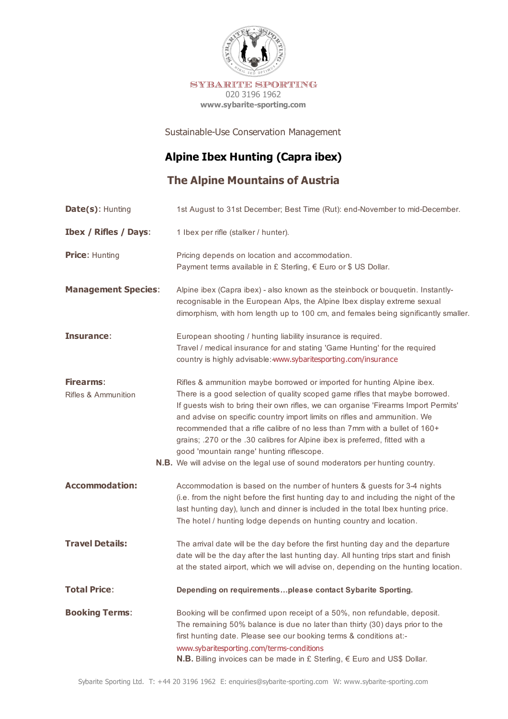

Sustainable-Use Conservation Management

# **Alpine Ibex Hunting (Capra ibex)**

**The Alpine Mountains of Austria**

| <b>Date(s): Hunting</b>                            | 1st August to 31st December; Best Time (Rut): end-November to mid-December.                                                                                                                                                                                                                                                                                                                                                                                                                                                                                                                                                    |
|----------------------------------------------------|--------------------------------------------------------------------------------------------------------------------------------------------------------------------------------------------------------------------------------------------------------------------------------------------------------------------------------------------------------------------------------------------------------------------------------------------------------------------------------------------------------------------------------------------------------------------------------------------------------------------------------|
| <b>Ibex / Rifles / Days:</b>                       | 1 Ibex per rifle (stalker / hunter).                                                                                                                                                                                                                                                                                                                                                                                                                                                                                                                                                                                           |
| <b>Price: Hunting</b>                              | Pricing depends on location and accommodation.<br>Payment terms available in £ Sterling, € Euro or \$ US Dollar.                                                                                                                                                                                                                                                                                                                                                                                                                                                                                                               |
| <b>Management Species:</b>                         | Alpine ibex (Capra ibex) - also known as the steinbock or bouquetin. Instantly-<br>recognisable in the European Alps, the Alpine Ibex display extreme sexual<br>dimorphism, with hom length up to 100 cm, and females being significantly smaller.                                                                                                                                                                                                                                                                                                                                                                             |
| Insurance:                                         | European shooting / hunting liability insurance is required.<br>Travel / medical insurance for and stating 'Game Hunting' for the required<br>country is highly advisable: www.sybaritesporting.com/insurance                                                                                                                                                                                                                                                                                                                                                                                                                  |
| <b>Firearms:</b><br><b>Rifles &amp; Ammunition</b> | Rifles & ammunition maybe borrowed or imported for hunting Alpine ibex.<br>There is a good selection of quality scoped game rifles that maybe borrowed.<br>If guests wish to bring their own rifles, we can organise 'Firearms Import Permits'<br>and advise on specific country import limits on rifles and ammunition. We<br>recommended that a rifle calibre of no less than 7mm with a bullet of 160+<br>grains; .270 or the .30 calibres for Alpine ibex is preferred, fitted with a<br>good 'mountain range' hunting riflescope.<br><b>N.B.</b> We will advise on the legal use of sound moderators per hunting country. |
| <b>Accommodation:</b>                              | Accommodation is based on the number of hunters & guests for 3-4 nights<br>(i.e. from the night before the first hunting day to and including the night of the<br>last hunting day), lunch and dinner is included in the total Ibex hunting price.<br>The hotel / hunting lodge depends on hunting country and location.                                                                                                                                                                                                                                                                                                       |
| <b>Travel Details:</b>                             | The arrival date will be the day before the first hunting day and the departure<br>date will be the day after the last hunting day. All hunting trips start and finish<br>at the stated airport, which we will advise on, depending on the hunting location.                                                                                                                                                                                                                                                                                                                                                                   |
| <b>Total Price:</b>                                | Depending on requirementsplease contact Sybarite Sporting.                                                                                                                                                                                                                                                                                                                                                                                                                                                                                                                                                                     |
| <b>Booking Terms:</b>                              | Booking will be confirmed upon receipt of a 50%, non refundable, deposit.<br>The remaining 50% balance is due no later than thirty (30) days prior to the<br>first hunting date. Please see our booking terms & conditions at:-<br>www.sybaritesporting.com/terms-conditions<br>N.B. Billing invoices can be made in £ Sterling, € Euro and US\$ Dollar.                                                                                                                                                                                                                                                                       |